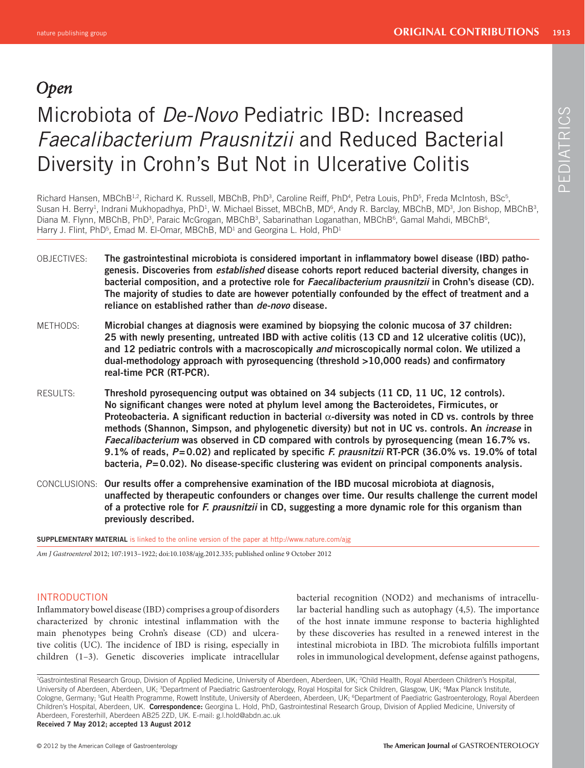# Open

# Microbiota of *De-Novo* Pediatric IBD: Increased *Faecalibacterium Prausnitzii* and Reduced Bacterial Diversity in Crohn's But Not in Ulcerative Colitis

Richard Hansen, MBChB<sup>1,2</sup>, Richard K. Russell, MBChB, PhD<sup>3</sup>, Caroline Reiff, PhD<sup>4</sup>, Petra Louis, PhD<sup>5</sup>, Freda McIntosh, BSc<sup>5</sup>, Susan H. Berry<sup>1</sup>, Indrani Mukhopadhya, PhD<sup>1</sup>, W. Michael Bisset, MBChB, MD<sup>6</sup>, Andy R. Barclay, MBChB, MD<sup>3</sup>, Jon Bishop, MBChB<sup>3</sup>, Diana M. Flynn, MBChB, PhD<sup>3</sup>, Paraic McGrogan, MBChB<sup>3</sup>, Sabarinathan Loganathan, MBChB<sup>6</sup>, Gamal Mahdi, MBChB<sup>6</sup>, Harry J. Flint, PhD<sup>5</sup>, Emad M. El-Omar, MBChB, MD<sup>1</sup> and Georgina L. Hold, PhD<sup>1</sup>

- OBJECTIVES: **The gastrointestinal microbiota is considered important in inflammatory bowel disease (IBD) pathogenesis. Discoveries from** *established* **disease cohorts report reduced bacterial diversity, changes in bacterial composition, and a protective role for** *Faecalibacterium prausnitzii* **in Crohn's disease (CD). The majority of studies to date are however potentially confounded by the effect of treatment and a reliance on established rather than** *de-novo* **disease.**
- METHODS: **Microbial changes at diagnosis were examined by biopsying the colonic mucosa of 37 children: 25 with newly presenting, untreated IBD with active colitis (13 CD and 12 ulcerative colitis (UC)), and 12 pediatric controls with a macroscopically** *and* **microscopically normal colon. We utilized a**  dual-methodology approach with pyrosequencing (threshold  $>10,000$  reads) and confirmatory **real-time PCR (RT-PCR).**
- RESULTS: **Threshold pyrosequencing output was obtained on 34 subjects (11 CD, 11 UC, 12 controls).**  No significant changes were noted at phylum level among the Bacteroidetes, Firmicutes, or **Proteobacteria. A significant reduction in bacterial α-diversity was noted in CD vs. controls by three methods (Shannon, Simpson, and phylogenetic diversity) but not in UC vs. controls. An** *increase* **in**  *Faecalibacterium* was observed in CD compared with controls by pyrosequencing (mean 16.7% vs. **9.1% of reads, P**=0.02) and replicated by specific *F. prausnitzii* RT-PCR (36.0% vs. 19.0% of total bacteria,  $P = 0.02$ ). No disease-specific clustering was evident on principal components analysis.
- CONCLUSIONS: **Our results offer a comprehensive examination of the IBD mucosal microbiota at diagnosis, unaffected by therapeutic confounders or changes over time. Our results challenge the current model of a protective role for** *F. prausnitzii* **in CD, suggesting a more dynamic role for this organism than previously described.**

**SUPPLEMENTARY MATERIAL** is linked to the online version of the paper at http://www.nature.com/ajg

*Am J Gastroenterol* 2012; 107:1913–1922; doi: 10.1038/ajg.2012.335; published online 9 October 2012

# INTRODUCTION

Inflammatory bowel disease (IBD) comprises a group of disorders characterized by chronic intestinal inflammation with the main phenotypes being Crohn's disease (CD) and ulcerative colitis (UC). The incidence of IBD is rising, especially in children (1-3). Genetic discoveries implicate intracellular

bacterial recognition (NOD2) and mechanisms of intracellular bacterial handling such as autophagy (4,5). The importance of the host innate immune response to bacteria highlighted by these discoveries has resulted in a renewed interest in the intestinal microbiota in IBD. The microbiota fulfills important roles in immunological development, defense against pathogens,

<sup>1</sup>Gastrointestinal Research Group, Division of Applied Medicine, University of Aberdeen, Aberdeen, UK; <sup>2</sup>Child Health, Royal Aberdeen Children's Hospital, University of Aberdeen, Aberdeen, UK; <sup>3</sup>Department of Paediatric Gastroenterology, Royal Hospital for Sick Children, Glasgow, UK; <sup>4</sup>Max Planck Institute, Cologne, Germany; <sup>5</sup>Gut Health Programme, Rowett Institute, University of Aberdeen, Aberdeen, UK; <sup>6</sup>Department of Paediatric Gastroenterology, Royal Aberdeen Children's Hospital, Aberdeen, UK. **Correspondence:** Georgina L. Hold, PhD, Gastrointestinal Research Group, Division of Applied Medicine, University of Aberdeen, Foresterhill, Aberdeen AB25 2ZD, UK. E-mail: g.l.hold@abdn.ac.uk **Received 7 May 2012; accepted 13 August 2012**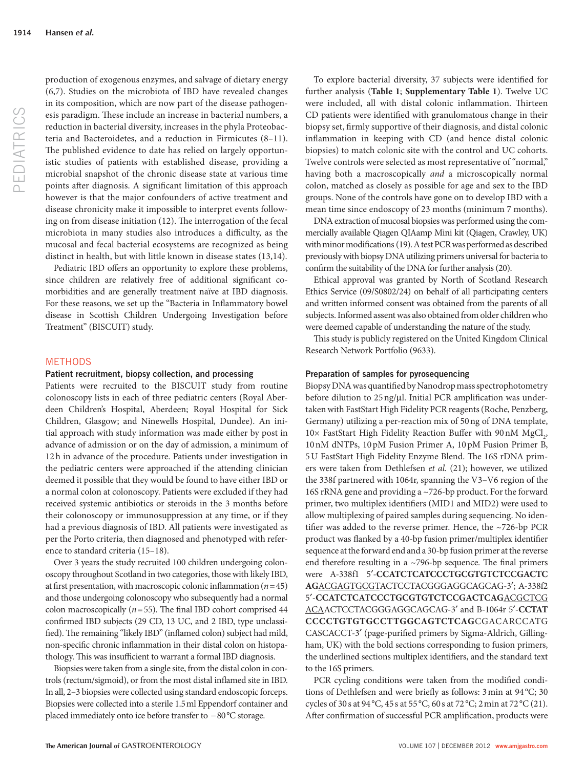production of exogenous enzymes, and salvage of dietary energy ( 6,7 ). Studies on the microbiota of IBD have revealed changes in its composition, which are now part of the disease pathogenesis paradigm. These include an increase in bacterial numbers, a reduction in bacterial diversity, increases in the phyla Proteobacteria and Bacteroidetes, and a reduction in Firmicutes (8-11). The published evidence to date has relied on largely opportunistic studies of patients with established disease, providing a microbial snapshot of the chronic disease state at various time points after diagnosis. A significant limitation of this approach however is that the major confounders of active treatment and disease chronicity make it impossible to interpret events following on from disease initiation (12). The interrogation of the fecal microbiota in many studies also introduces a difficulty, as the mucosal and fecal bacterial ecosystems are recognized as being distinct in health, but with little known in disease states (13,14).

Pediatric IBD offers an opportunity to explore these problems, since children are relatively free of additional significant comorbidities and are generally treatment naïve at IBD diagnosis. For these reasons, we set up the "Bacteria in Inflammatory bowel disease in Scottish Children Undergoing Investigation before Treatment" (BISCUIT) study.

## **METHODS**

#### **Patient recruitment, biopsy collection, and processing**

 Patients were recruited to the BISCUIT study from routine colonoscopy lists in each of three pediatric centers (Royal Aberdeen Children's Hospital, Aberdeen; Royal Hospital for Sick Children, Glasgow; and Ninewells Hospital, Dundee). An initial approach with study information was made either by post in advance of admission or on the day of admission, a minimum of 12 h in advance of the procedure. Patients under investigation in the pediatric centers were approached if the attending clinician deemed it possible that they would be found to have either IBD or a normal colon at colonoscopy. Patients were excluded if they had received systemic antibiotics or steroids in the 3 months before their colonoscopy or immunosuppression at any time, or if they had a previous diagnosis of IBD. All patients were investigated as per the Porto criteria, then diagnosed and phenotyped with reference to standard criteria (15-18).

 Over 3 years the study recruited 100 children undergoing colonoscopy throughout Scotland in two categories, those with likely IBD, at first presentation, with macroscopic colonic inflammation  $(n=45)$ and those undergoing colonoscopy who subsequently had a normal colon macroscopically ( $n = 55$ ). The final IBD cohort comprised 44 confirmed IBD subjects (29 CD, 13 UC, and 2 IBD, type unclassified). The remaining "likely IBD" (inflamed colon) subject had mild, non-specific chronic inflammation in their distal colon on histopathology. This was insufficient to warrant a formal IBD diagnosis.

 Biopsies were taken from a single site, from the distal colon in controls (rectum/sigmoid), or from the most distal inflamed site in IBD. In all, 2-3 biopsies were collected using standard endoscopic forceps. Biopsies were collected into a sterile 1.5 ml Eppendorf container and placed immediately onto ice before transfer to −80 °C storage.

To explore bacterial diversity, 37 subjects were identified for further analysis (Table 1; Supplementary Table 1). Twelve UC were included, all with distal colonic inflammation. Thirteen CD patients were identified with granulomatous change in their biopsy set, firmly supportive of their diagnosis, and distal colonic inflammation in keeping with CD (and hence distal colonic biopsies) to match colonic site with the control and UC cohorts. Twelve controls were selected as most representative of "normal," having both a macroscopically *and* a microscopically normal colon, matched as closely as possible for age and sex to the IBD groups. None of the controls have gone on to develop IBD with a mean time since endoscopy of 23 months (minimum 7 months).

 DNA extraction of mucosal biopsies was performed using the commercially available Qiagen QIAamp Mini kit (Qiagen, Crawley, UK) with minor modifications (19). A test PCR was performed as described previously with biopsy DNA utilizing primers universal for bacteria to confirm the suitability of the DNA for further analysis (20).

 Ethical approval was granted by North of Scotland Research Ethics Service (09/S0802/24) on behalf of all participating centers and written informed consent was obtained from the parents of all subjects. Informed assent was also obtained from older children who were deemed capable of understanding the nature of the study.

This study is publicly registered on the United Kingdom Clinical Research Network Portfolio (9633).

#### **Preparation of samples for pyrosequencing**

Biopsy DNA was quantified by Nanodrop mass spectrophotometry before dilution to 25 ng/μl. Initial PCR amplification was undertaken with FastStart High Fidelity PCR reagents (Roche, Penzberg, Germany) utilizing a per-reaction mix of 50 ng of DNA template,  $10\times$  FastStart High Fidelity Reaction Buffer with 90 nM MgCl<sub>2</sub>, 10 nM dNTPs, 10 pM Fusion Primer A, 10 pM Fusion Primer B, 5 U FastStart High Fidelity Enzyme Blend. The 16S rDNA primers were taken from Dethlefsen et al. (21); however, we utilized the 338f partnered with 1064r, spanning the V3 – V6 region of the 16S rRNA gene and providing a ~ 726-bp product. For the forward primer, two multiplex identifiers (MID1 and MID2) were used to allow multiplexing of paired samples during sequencing. No identifier was added to the reverse primer. Hence, the  $\sim$ 726-bp PCR product was flanked by a 40-bp fusion primer/multiplex identifier sequence at the forward end and a 30-bp fusion primer at the reverse end therefore resulting in a  $\sim$  796-bp sequence. The final primers were A-338f1 5'-CCATCTCATCCCTGCGTGTCTCCGACTC **AG** ACGAGTGCGT ACTCCTACGGGAGGCAGCAG-3 ′ ; A-338f2 5 ′ - **CCATCTCATCCCTGCGTGTCTCCGACTCAG** ACGCTCG ACA ACTCCTACGGGAGGCAGCAG-3 ′ and B-1064r 5 ′ - **CCTAT** CCCCTGTGTGCCTTGGCAGTCTCAGCGACARCCATG CASCACCT-3' (page-purified primers by Sigma-Aldrich, Gillingham, UK) with the bold sections corresponding to fusion primers, the underlined sections multiplex identifiers, and the standard text to the 16S primers.

PCR cycling conditions were taken from the modified conditions of Dethlefsen and were briefly as follows: 3 min at 94 °C; 30 cycles of 30 s at 94 °C, 45 s at 55 °C, 60 s at 72 °C; 2 min at 72 °C (21). After confirmation of successful PCR amplification, products were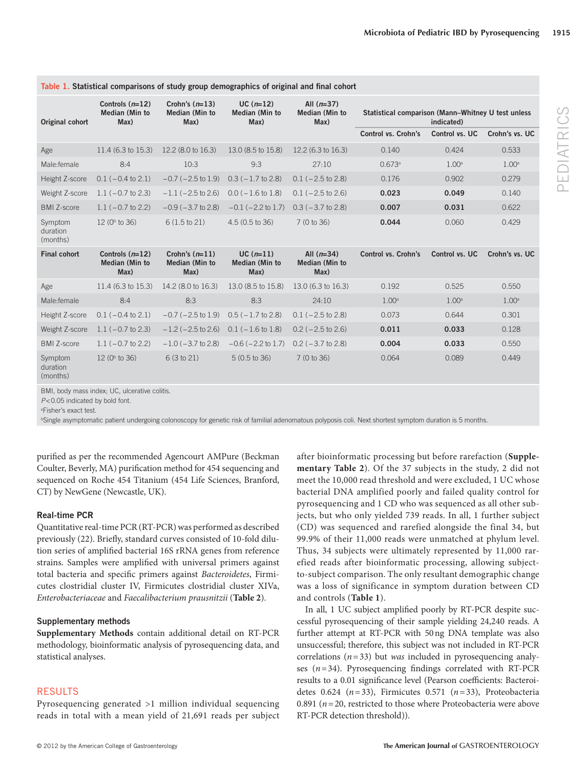| Original cohort                 | Controls $(n=12)$<br><b>Median (Min to</b><br>Max) | Crohn's $(n=13)$<br><b>Median (Min to</b><br>Max) | $UC (n=12)$<br>Median (Min to<br>Max)        | All $(n=37)$<br>Median (Min to<br>Max)        | Statistical comparison (Mann-Whitney U test unless<br>indicated) |                   |                   |  |
|---------------------------------|----------------------------------------------------|---------------------------------------------------|----------------------------------------------|-----------------------------------------------|------------------------------------------------------------------|-------------------|-------------------|--|
|                                 |                                                    |                                                   |                                              |                                               | Control vs. Crohn's                                              | Control vs. UC    | Crohn's vs. UC    |  |
| Age                             | 11.4 (6.3 to 15.3)                                 | 12.2 (8.0 to 16.3)                                | 13.0 (8.5 to 15.8)                           | 12.2 (6.3 to 16.3)                            | 0.140                                                            | 0.424             | 0.533             |  |
| Male:female                     | 8:4                                                | 10:3                                              | 9:3                                          | 27:10                                         | 0.673a                                                           | 1.00 <sup>a</sup> | 1.00 <sup>a</sup> |  |
| Height Z-score                  | $0.1$ ( $-0.4$ to $2.1$ )                          | $-0.7$ ( $-2.5$ to 1.9)                           | $0.3(-1.7 \text{ to } 2.8)$                  | $0.1$ ( $-2.5$ to $2.8$ )                     | 0.176                                                            | 0.902             | 0.279             |  |
| Weight Z-score                  | $1.1 (-0.7 to 2.3)$                                | $-1.1$ ( $-2.5$ to 2.6)                           | $0.0$ ( $-1.6$ to $1.8$ )                    | $0.1$ ( $-2.5$ to $2.6$ )                     | 0.023                                                            | 0.049             | 0.140             |  |
| <b>BMI Z-score</b>              | $1.1 (-0.7 to 2.2)$                                | $-0.9$ ( $-3.7$ to 2.8)                           | $-0.1$ ( $-2.2$ to 1.7)                      | $0.3$ ( $-3.7$ to $2.8$ )                     | 0.007                                                            | 0.031             | 0.622             |  |
| Symptom<br>duration<br>(months) | 12(0 <sup>b</sup> to 36)                           | $6(1.5 \text{ to } 21)$                           | $4.5(0.5 \text{ to } 36)$                    | 7 (0 to 36)                                   | 0.044                                                            | 0.060             | 0.429             |  |
| <b>Final cohort</b>             | Controls $(n=12)$<br><b>Median (Min to</b><br>Max) | Crohn's $(n=11)$<br><b>Median (Min to</b><br>Max) | $UC (n=11)$<br><b>Median (Min to</b><br>Max) | All $(n=34)$<br><b>Median (Min to</b><br>Max) | Control vs. Crohn's                                              | Control vs. UC    | Crohn's vs. UC    |  |
| Age                             | 11.4 (6.3 to 15.3)                                 | 14.2 (8.0 to 16.3)                                | 13.0 (8.5 to 15.8)                           | 13.0 (6.3 to 16.3)                            | 0.192                                                            | 0.525             | 0.550             |  |
| Male:female                     | 8:4                                                | 8:3                                               | 8:3                                          | 24:10                                         | 1.00 <sup>a</sup>                                                | 1.00 <sup>a</sup> | 1.00 <sup>a</sup> |  |
| Height Z-score                  | $0.1$ ( $-0.4$ to $2.1$ )                          | $-0.7$ ( $-2.5$ to 1.9)                           | $0.5$ ( $-1.7$ to 2.8)                       | $0.1$ ( $-2.5$ to $2.8$ )                     | 0.073                                                            | 0.644             | 0.301             |  |
| Weight Z-score                  | $1.1 (-0.7 to 2.3)$                                | $-1.2$ ( $-2.5$ to 2.6)                           | $0.1$ ( $-1.6$ to $1.8$ )                    | $0.2$ ( $-2.5$ to $2.6$ )                     | 0.011                                                            | 0.033             | 0.128             |  |
| <b>BMI Z-score</b>              | $1.1$ (-0.7 to 2.2)                                | $-1.0$ ( $-3.7$ to 2.8)                           | $-0.6$ ( $-2.2$ to 1.7)                      | $0.2$ ( $-3.7$ to 2.8)                        | 0.004                                                            | 0.033             | 0.550             |  |
| Symptom<br>duration<br>(months) | $12(0b$ to 36)                                     | 6 (3 to 21)                                       | $5(0.5 \text{ to } 36)$                      | 7 (0 to 36)                                   | 0.064                                                            | 0.089             | 0.449             |  |

#### Table 1. Statistical comparisons of study group demographics of original and final cohort

BMI, body mass index; UC, ulcerative colitis.

P<0.05 indicated by bold font.

a Fisher's exact test.

b Single asymptomatic patient undergoing colonoscopy for genetic risk of familial adenomatous polyposis coli. Next shortest symptom duration is 5 months.

purified as per the recommended Agencourt AMPure (Beckman Coulter, Beverly, MA) purification method for 454 sequencing and sequenced on Roche 454 Titanium (454 Life Sciences, Branford, CT) by NewGene (Newcastle, UK).

## **Real-time PCR**

 Quantitative real-time PCR (RT-PCR) was performed as described previously (22). Briefly, standard curves consisted of 10-fold dilution series of amplified bacterial 16S rRNA genes from reference strains. Samples were amplified with universal primers against total bacteria and specific primers against *Bacteroidetes*, Firmicutes clostridial cluster IV, Firmicutes clostridial cluster XIVa, *Enterobacteriaceae* and *Faecalibacterium prausnitzii* ( **Table 2** ).

## **Supplementary methods**

**Supplementary Methods** contain additional detail on RT-PCR methodology, bioinformatic analysis of pyrosequencing data, and statistical analyses.

## **RESULTS**

 Pyrosequencing generated >1 million individual sequencing reads in total with a mean yield of 21,691 reads per subject after bioinformatic processing but before rarefaction ( **Supple**mentary Table 2). Of the 37 subjects in the study, 2 did not meet the 10,000 read threshold and were excluded, 1 UC whose bacterial DNA amplified poorly and failed quality control for pyrosequencing and 1 CD who was sequenced as all other subjects, but who only yielded 739 reads. In all, 1 further subject (CD) was sequenced and rarefied alongside the final 34, but 99.9% of their 11,000 reads were unmatched at phylum level. Thus, 34 subjects were ultimately represented by 11,000 rarefied reads after bioinformatic processing, allowing subjectto-subject comparison. The only resultant demographic change was a loss of significance in symptom duration between CD and controls ( **Table 1** ).

In all, 1 UC subject amplified poorly by RT-PCR despite successful pyrosequencing of their sample yielding 24,240 reads. A further attempt at RT-PCR with 50 ng DNA template was also unsuccessful; therefore, this subject was not included in RT-PCR correlations ( $n=33$ ) but *was* included in pyrosequencing analyses  $(n=34)$ . Pyrosequencing findings correlated with RT-PCR results to a 0.01 significance level (Pearson coefficients: Bacteroidetes 0.624  $(n=33)$ , Firmicutes 0.571  $(n=33)$ , Proteobacteria 0.891 ( $n = 20$ , restricted to those where Proteobacteria were above RT-PCR detection threshold)).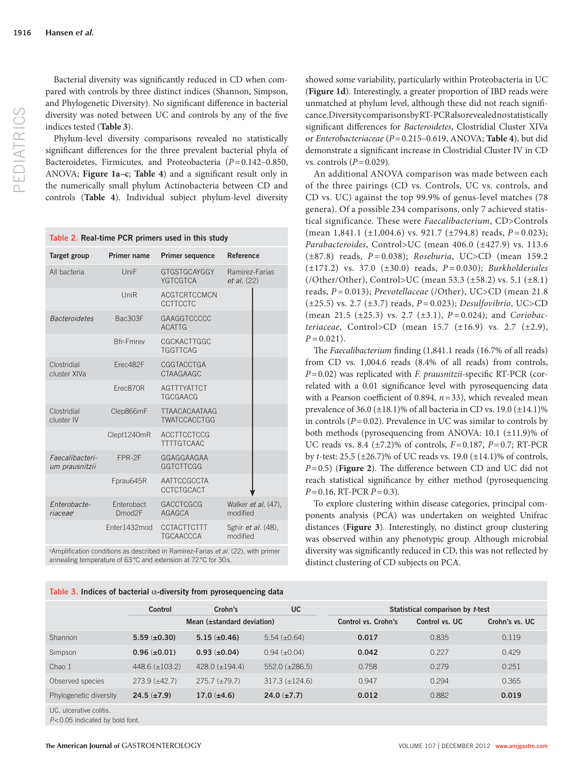Bacterial diversity was significantly reduced in CD when compared with controls by three distinct indices (Shannon, Simpson, and Phylogenetic Diversity). No significant difference in bacterial diversity was noted between UC and controls by any of the five indices tested ( **Table 3** ).

 Phylum-level diversity comparisons revealed no statistically significant differences for the three prevalent bacterial phyla of Bacteroidetes, Firmicutes, and Proteobacteria ( $P = 0.142 - 0.850$ , ANOVA; **Figure 1a-c**; **Table 4**) and a significant result only in the numerically small phylum Actinobacteria between CD and controls (Table 4). Individual subject phylum-level diversity

| Table 2. Real-time PCR primers used in this study                                 |                                  |                                             |                                       |  |  |  |  |
|-----------------------------------------------------------------------------------|----------------------------------|---------------------------------------------|---------------------------------------|--|--|--|--|
| Target group                                                                      | <b>Primer name</b>               | <b>Primer sequence</b>                      | Reference                             |  |  |  |  |
| All bacteria                                                                      | UniF                             | GTGSTGCAYGGY<br><b>YGTCGTCA</b>             | Ramirez-Farias<br>et al. (22)         |  |  |  |  |
|                                                                                   | UniR                             | <b>ACGTCRTCCMCN</b><br><b>CCTTCCTC</b>      |                                       |  |  |  |  |
| <b>Bacteroidetes</b>                                                              | Bac303F                          | GAAGGTCCCCC<br><b>ACATTG</b>                |                                       |  |  |  |  |
|                                                                                   | <b>Bfr-Fmrev</b>                 | CGCKACTTGGC<br><b>TGGTTCAG</b>              |                                       |  |  |  |  |
| Clostridial<br>cluster XIVa                                                       | Frec482F                         | CGGTACCTGA<br>CTAAGAAGC                     |                                       |  |  |  |  |
|                                                                                   | Frec870R                         | AGTTTYATTCT<br><b>TGCGAACG</b>              |                                       |  |  |  |  |
| Clostridial<br>cluster IV                                                         | Clep866mF                        | <b>TTAACACAATAAG</b><br><b>TWATCCACCTGG</b> |                                       |  |  |  |  |
|                                                                                   | Clept1240mR                      | <b>ACCTTCCTCCG</b><br><b>TTTTGTCAAC</b>     |                                       |  |  |  |  |
| Faecalibacteri-<br>um prausnitzii                                                 | FPR-2F                           | GGAGGAAGAA<br><b>GGTCTTCGG</b>              |                                       |  |  |  |  |
|                                                                                   | Fprau645R                        | AATTCCGCCTA<br>CCTCTGCACT                   |                                       |  |  |  |  |
| Enterobacte-<br>riaceae <sup>a</sup>                                              | Enterobact<br>Dmod <sub>2F</sub> | <b>GACCTCGCG</b><br>AGAGCA                  | Walker et al. (47),<br>modified       |  |  |  |  |
|                                                                                   | Enter1432mod                     | CCTACTTCTTT<br><b>TGCAACCCA</b>             | Sghir <i>et al.</i> (48),<br>modified |  |  |  |  |
| aAmplification conditions as described in Ramirez-Farias et al. (22), with primer |                                  |                                             |                                       |  |  |  |  |

annealing temperature of 63 °C and extension at 72 °C for 30 s.

**Table 3 . Indices of bacterial** α**-diversity from pyrosequencing data** 

showed some variability, particularly within Proteobacteria in UC (**Figure 1d**). Interestingly, a greater proportion of IBD reads were unmatched at phylum level, although these did not reach significance. Diversity comparisons by RT-PCR also revealed no statistically significant differences for *Bacteroidetes*, Clostridial Cluster XIVa or *Enterobacteriaceae* ( *P* = 0.215 – 0.619, ANOVA; **Table 4** ), but did demonstrate a significant increase in Clostridial Cluster IV in CD vs. controls  $(P=0.029)$ .

 An additional ANOVA comparison was made between each of the three pairings (CD vs. Controls, UC vs. controls, and CD vs. UC) against the top 99.9% of genus-level matches (78 genera). Of a possible 234 comparisons, only 7 achieved statistical significance. These were *Faecalibacterium*, CD>Controls (mean 1,841.1 (±1,004.6) vs. 921.7 (±794.8) reads,  $P = 0.023$ ); *Parabacteroides*, Control>UC (mean 406.0 (±427.9) vs. 113.6 ( ± 87.8) reads, *P* = 0.038); *Roseburia* , UC>CD (mean 159.2 ( ± 171.2) vs. 37.0 ( ± 30.0) reads, *P* = 0.030); *Burkholderiales* (/Other/Other), Control>UC (mean 53.3 ( $\pm$ 58.2) vs. 5.1 ( $\pm$ 8.1) reads,  $P = 0.013$ ); *Prevotellaceae* (/Other), UC>CD (mean 21.8) ( ± 25.5) vs. 2.7 ( ± 3.7) reads, *P* = 0.023); *Desulfovibrio* , UC>CD (mean 21.5 (±25.3) vs. 2.7 (±3.1),  $P = 0.024$ ); and *Coriobacteriaceae*, Control>CD (mean 15.7 (±16.9) vs. 2.7 (±2.9),  $P = 0.021$ .

The *Faecalibacterium* finding (1,841.1 reads (16.7% of all reads) from CD vs. 1,004.6 reads (8.4% of all reads) from controls, *P* = 0.02) was replicated with *F. prausnitzii*-specific RT-PCR (correlated with a 0.01 significance level with pyrosequencing data with a Pearson coefficient of 0.894,  $n = 33$ ), which revealed mean prevalence of 36.0  $(\pm 18.1)$ % of all bacteria in CD vs. 19.0  $(\pm 14.1)$ % in controls  $(P=0.02)$ . Prevalence in UC was similar to controls by both methods (pyrosequencing from ANOVA:  $10.1$  ( $\pm$ 11.9)% of UC reads vs. 8.4 ( ± 7.2) % of controls, *F* = 0.187, *P* = 0.7; RT-PCR by *t*-test: 25.5 (±26.7)% of UC reads vs. 19.0 (±14.1)% of controls,  $P=0.5$ ) (**Figure 2**). The difference between CD and UC did not reach statistical significance by either method (pyrosequencing *P* = 0.16, RT-PCR *P* = 0.3).

 To explore clustering within disease categories, principal components analysis (PCA) was undertaken on weighted Unifrac distances (Figure 3). Interestingly, no distinct group clustering was observed within any phenotypic group. Although microbial diversity was significantly reduced in CD, this was not reflected by distinct clustering of CD subjects on PCA.

|                        | Control              | Crohn's                    | UC                      | Statistical comparison by t-test |                |                |  |
|------------------------|----------------------|----------------------------|-------------------------|----------------------------------|----------------|----------------|--|
|                        |                      | Mean (±standard deviation) |                         | Control vs. Crohn's              | Control vs. UC | Crohn's vs. UC |  |
| Shannon                | $5.59 \ (\pm 0.30)$  | $5.15 \ (\pm 0.46)$        | $5.54(\pm 0.64)$        | 0.017                            | 0.835          | 0.119          |  |
| Simpson                | $0.96 \ (\pm 0.01)$  | $0.93 \ (\pm 0.04)$        | $0.94~(\pm 0.04)$       | 0.042                            | 0.227          | 0.429          |  |
| Chao 1                 | 448.6 $(\pm 103.2)$  | $428.0 \ (\pm 194.4)$      | $552.0$ ( $\pm 286.5$ ) | 0.758                            | 0.279          | 0.251          |  |
| Observed species       | $273.9 \ (\pm 42.7)$ | $275.7 \ (\pm 79.7)$       | $317.3 \ (\pm 124.6)$   | 0.947                            | 0.294          | 0.365          |  |
| Phylogenetic diversity | $24.5 \ (\pm 7.9)$   | $17.0 \ (\pm 4.6)$         | $24.0 \ (\pm 7.7)$      | 0.012                            | 0.882          | 0.019          |  |
| LIC ulcorativo colitic |                      |                            |                         |                                  |                |                |  |

UC, ulcerative colitis.

*P* < 0.05 indicated by bold font.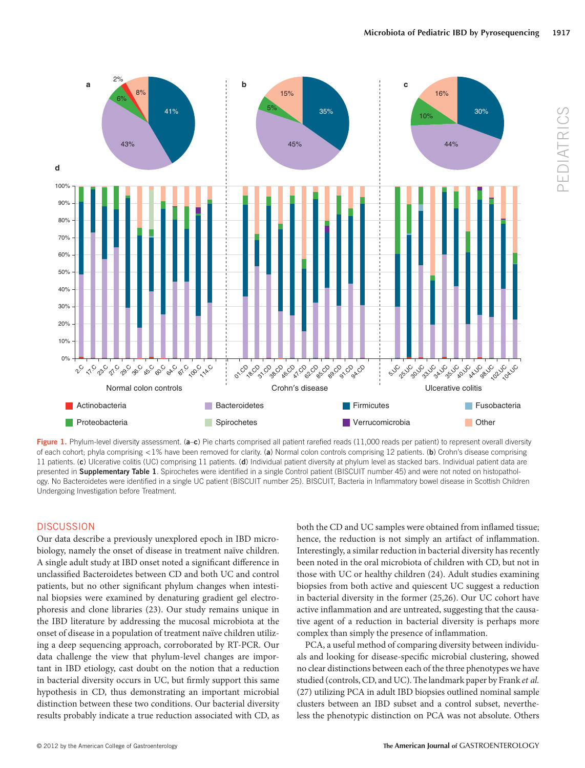

PEDIATRICS PEDIATRICS

Figure 1. Phylum-level diversity assessment. (a-c) Pie charts comprised all patient rarefied reads (11,000 reads per patient) to represent overall diversity of each cohort; phyla comprising <1% have been removed for clarity. (a) Normal colon controls comprising 12 patients. (b) Crohn's disease comprising 11 patients. ( **c**) Ulcerative colitis (UC) comprising 11 patients. ( **d**) Individual patient diversity at phylum level as stacked bars. Individual patient data are presented in **Supplementary Table 1**. Spirochetes were identified in a single Control patient (BISCUIT number 45) and were not noted on histopathology. No Bacteroidetes were identified in a single UC patient (BISCUIT number 25). BISCUIT, Bacteria in Inflammatory bowel disease in Scottish Children Undergoing Investigation before Treatment.

#### **DISCUSSION**

 Our data describe a previously unexplored epoch in IBD microbiology, namely the onset of disease in treatment naïve children. A single adult study at IBD onset noted a significant difference in unclassified Bacteroidetes between CD and both UC and control patients, but no other significant phylum changes when intestinal biopsies were examined by denaturing gradient gel electrophoresis and clone libraries (23). Our study remains unique in the IBD literature by addressing the mucosal microbiota at the onset of disease in a population of treatment naïve children utilizing a deep sequencing approach, corroborated by RT-PCR. Our data challenge the view that phylum-level changes are important in IBD etiology, cast doubt on the notion that a reduction in bacterial diversity occurs in UC, but firmly support this same hypothesis in CD, thus demonstrating an important microbial distinction between these two conditions. Our bacterial diversity results probably indicate a true reduction associated with CD, as both the CD and UC samples were obtained from inflamed tissue; hence, the reduction is not simply an artifact of inflammation. Interestingly, a similar reduction in bacterial diversity has recently been noted in the oral microbiota of children with CD, but not in those with UC or healthy children (24). Adult studies examining biopsies from both active and quiescent UC suggest a reduction in bacterial diversity in the former (25,26). Our UC cohort have active inflammation and are untreated, suggesting that the causative agent of a reduction in bacterial diversity is perhaps more complex than simply the presence of inflammation.

 PCA, a useful method of comparing diversity between individuals and looking for disease-specific microbial clustering, showed no clear distinctions between each of the three phenotypes we have studied (controls, CD, and UC). The landmark paper by Frank *et al.* ( 27 ) utilizing PCA in adult IBD biopsies outlined nominal sample clusters between an IBD subset and a control subset, nevertheless the phenotypic distinction on PCA was not absolute. Others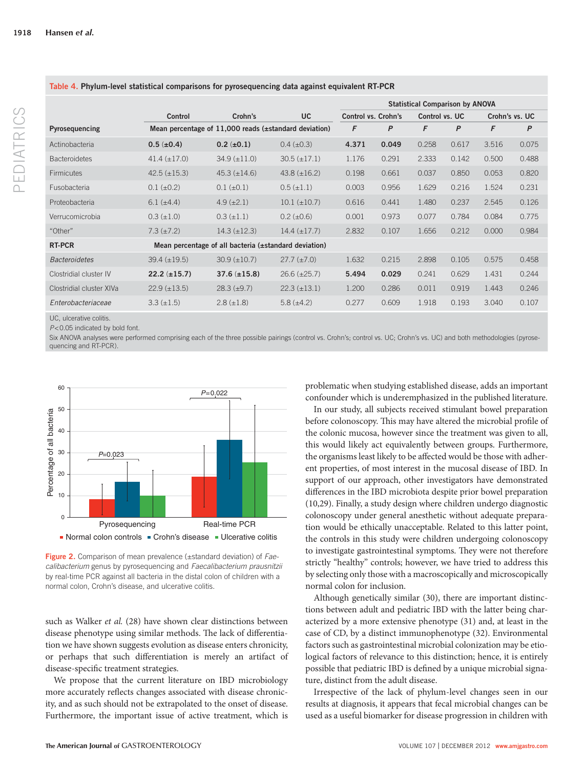|                          |                                                       |                                                       |                     | <b>Statistical Comparison by ANOVA</b> |       |                |       |                |       |
|--------------------------|-------------------------------------------------------|-------------------------------------------------------|---------------------|----------------------------------------|-------|----------------|-------|----------------|-------|
|                          | Control                                               | Crohn's                                               | <b>UC</b>           | Control vs. Crohn's                    |       | Control vs. UC |       | Crohn's vs. UC |       |
| Pyrosequencing           |                                                       | Mean percentage of 11,000 reads (±standard deviation) |                     | F                                      | P     | F              | P     | F              | P     |
| Actinobacteria           | $0.5 \ (\pm 0.4)$                                     | $0.2 \ (\pm 0.1)$                                     | $0.4 (\pm 0.3)$     | 4.371                                  | 0.049 | 0.258          | 0.617 | 3.516          | 0.075 |
| <b>Bacteroidetes</b>     | 41.4 $(\pm 17.0)$                                     | $34.9 \ (\pm 11.0)$                                   | $30.5 (\pm 17.1)$   | 1.176                                  | 0.291 | 2.333          | 0.142 | 0.500          | 0.488 |
| <b>Firmicutes</b>        | $42.5 (\pm 15.3)$                                     | 45.3 $(\pm 14.6)$                                     | 43.8 $(\pm 16.2)$   | 0.198                                  | 0.661 | 0.037          | 0.850 | 0.053          | 0.820 |
| Fusobacteria             | $0.1 (\pm 0.2)$                                       | $0.1 (\pm 0.1)$                                       | $0.5 (\pm 1.1)$     | 0.003                                  | 0.956 | 1.629          | 0.216 | 1.524          | 0.231 |
| Proteobacteria           | 6.1 $(\pm 4.4)$                                       | 4.9 $(\pm 2.1)$                                       | $10.1 (\pm 10.7)$   | 0.616                                  | 0.441 | 1.480          | 0.237 | 2.545          | 0.126 |
| Verrucomicrobia          | $0.3 (\pm 1.0)$                                       | $0.3 (\pm 1.1)$                                       | $0.2 (\pm 0.6)$     | 0.001                                  | 0.973 | 0.077          | 0.784 | 0.084          | 0.775 |
| "Other"                  | $7.3 (\pm 7.2)$                                       | $14.3 \ (\pm 12.3)$                                   | $14.4 \ (\pm 17.7)$ | 2.832                                  | 0.107 | 1.656          | 0.212 | 0.000          | 0.984 |
| <b>RT-PCR</b>            | Mean percentage of all bacteria (±standard deviation) |                                                       |                     |                                        |       |                |       |                |       |
| <b>Bacteroidetes</b>     | $39.4 \ (\pm 19.5)$                                   | $30.9 \ (\pm 10.7)$                                   | $27.7 (\pm 7.0)$    | 1.632                                  | 0.215 | 2.898          | 0.105 | 0.575          | 0.458 |
| Clostridial cluster IV   | $22.2 \ (\pm 15.7)$                                   | $37.6 \ (\pm 15.8)$                                   | $26.6 (\pm 25.7)$   | 5.494                                  | 0.029 | 0.241          | 0.629 | 1.431          | 0.244 |
| Clostridial cluster XIVa | $22.9 \ (\pm 13.5)$                                   | $28.3 \ (\pm 9.7)$                                    | $22.3 (\pm 13.1)$   | 1.200                                  | 0.286 | 0.011          | 0.919 | 1.443          | 0.246 |
| Enterobacteriaceae       | $3.3 \ (\pm 1.5)$                                     | $2.8 (\pm 1.8)$                                       | 5.8 $(\pm 4.2)$     | 0.277                                  | 0.609 | 1.918          | 0.193 | 3.040          | 0.107 |

**Table 4 . Phylum-level statistical comparisons for pyrosequencing data against equivalent RT-PCR** 

UC, ulcerative colitis.

P<0.05 indicated by bold font.

Six ANOVA analyses were performed comprising each of the three possible pairings (control vs. Crohn's; control vs. UC; Crohn's vs. UC) and both methodologies (pyrosequencing and RT-PCR).



**Figure 2.** Comparison of mean prevalence ( $\pm$ standard deviation) of *Faecalibacterium* genus by pyrosequencing and *Faecalibacterium prausnitzii* by real-time PCR against all bacteria in the distal colon of children with a normal colon, Crohn's disease, and ulcerative colitis.

such as Walker *et al.* (28) have shown clear distinctions between disease phenotype using similar methods. The lack of differentiation we have shown suggests evolution as disease enters chronicity, or perhaps that such differentiation is merely an artifact of disease-specific treatment strategies.

 We propose that the current literature on IBD microbiology more accurately reflects changes associated with disease chronicity, and as such should not be extrapolated to the onset of disease. Furthermore, the important issue of active treatment, which is problematic when studying established disease, adds an important confounder which is underemphasized in the published literature.

 In our study, all subjects received stimulant bowel preparation before colonoscopy. This may have altered the microbial profile of the colonic mucosa, however since the treatment was given to all, this would likely act equivalently between groups. Furthermore, the organisms least likely to be affected would be those with adherent properties, of most interest in the mucosal disease of IBD. In support of our approach, other investigators have demonstrated differences in the IBD microbiota despite prior bowel preparation ( 10,29 ). Finally, a study design where children undergo diagnostic colonoscopy under general anesthetic without adequate preparation would be ethically unacceptable. Related to this latter point, the controls in this study were children undergoing colonoscopy to investigate gastrointestinal symptoms. They were not therefore strictly "healthy" controls; however, we have tried to address this by selecting only those with a macroscopically and microscopically normal colon for inclusion.

Although genetically similar (30), there are important distinctions between adult and pediatric IBD with the latter being characterized by a more extensive phenotype (31) and, at least in the case of CD, by a distinct immunophenotype (32). Environmental factors such as gastrointestinal microbial colonization may be etiological factors of relevance to this distinction; hence, it is entirely possible that pediatric IBD is defined by a unique microbial signature, distinct from the adult disease.

 Irrespective of the lack of phylum-level changes seen in our results at diagnosis, it appears that fecal microbial changes can be used as a useful biomarker for disease progression in children with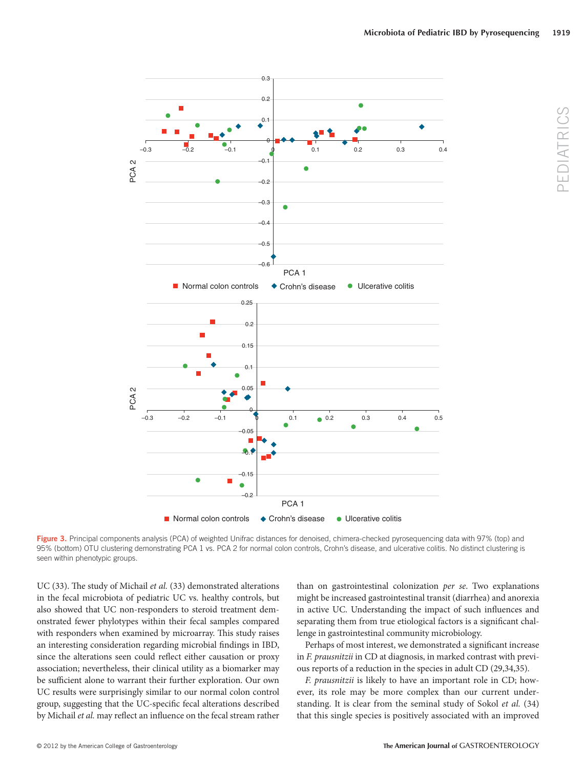

Figure 3. Principal components analysis (PCA) of weighted Unifrac distances for denoised, chimera-checked pyrosequencing data with 97% (top) and 95% (bottom) OTU clustering demonstrating PCA 1 vs. PCA 2 for normal colon controls, Crohn's disease, and ulcerative colitis. No distinct clustering is seen within phenotypic groups.

UC (33). The study of Michail et al. (33) demonstrated alterations in the fecal microbiota of pediatric UC vs. healthy controls, but also showed that UC non-responders to steroid treatment demonstrated fewer phylotypes within their fecal samples compared with responders when examined by microarray. This study raises an interesting consideration regarding microbial findings in IBD, since the alterations seen could reflect either causation or proxy association; nevertheless, their clinical utility as a biomarker may be sufficient alone to warrant their further exploration. Our own UC results were surprisingly similar to our normal colon control group, suggesting that the UC-specific fecal alterations described by Michail *et al.* may reflect an influence on the fecal stream rather

than on gastrointestinal colonization *per se* . Two explanations might be increased gastrointestinal transit (diarrhea) and anorexia in active UC. Understanding the impact of such influences and separating them from true etiological factors is a significant challenge in gastrointestinal community microbiology.

Perhaps of most interest, we demonstrated a significant increase in *F. prausnitzii* in CD at diagnosis, in marked contrast with previous reports of a reduction in the species in adult CD (29,34,35).

*F. prausnitzii* is likely to have an important role in CD; however, its role may be more complex than our current understanding. It is clear from the seminal study of Sokol et al. (34) that this single species is positively associated with an improved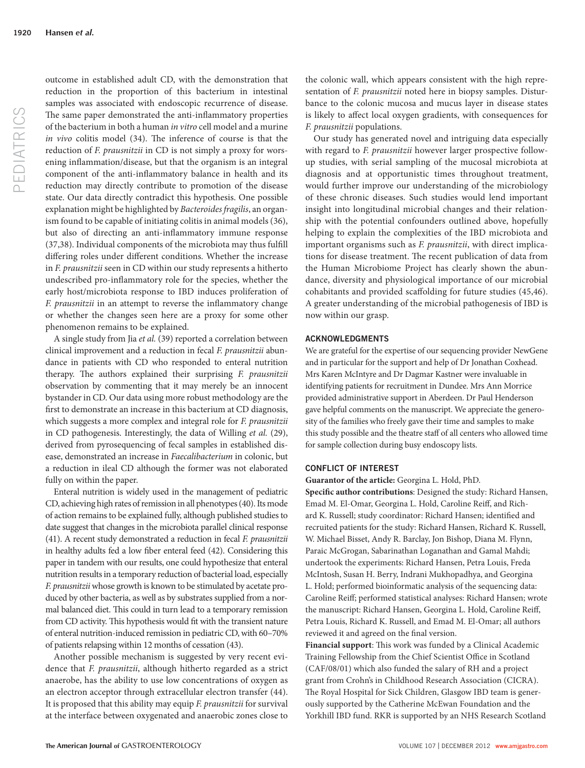outcome in established adult CD, with the demonstration that reduction in the proportion of this bacterium in intestinal samples was associated with endoscopic recurrence of disease. The same paper demonstrated the anti-inflammatory properties of the bacterium in both a human *in vitro* cell model and a murine *in vivo* colitis model (34). The inference of course is that the reduction of *F. prausnitzii* in CD is not simply a proxy for worsening inflammation/disease, but that the organism is an integral component of the anti-inflammatory balance in health and its reduction may directly contribute to promotion of the disease state. Our data directly contradict this hypothesis. One possible explanation might be highlighted by *Bacteroides fragilis* , an organism found to be capable of initiating colitis in animal models (36), but also of directing an anti-inflammatory immune response  $(37,38)$ . Individual components of the microbiota may thus fulfill differing roles under different conditions. Whether the increase in *F. prausnitzii* seen in CD within our study represents a hitherto undescribed pro-inflammatory role for the species, whether the early host/microbiota response to IBD induces proliferation of *F. prausnitzii* in an attempt to reverse the inflammatory change or whether the changes seen here are a proxy for some other phenomenon remains to be explained.

A single study from Jia et al. (39) reported a correlation between clinical improvement and a reduction in fecal *F. prausnitzii* abundance in patients with CD who responded to enteral nutrition therapy. The authors explained their surprising *F. prausnitzii* observation by commenting that it may merely be an innocent bystander in CD. Our data using more robust methodology are the first to demonstrate an increase in this bacterium at CD diagnosis, which suggests a more complex and integral role for *F. prausnitzii* in CD pathogenesis. Interestingly, the data of Willing *et al.* (29), derived from pyrosequencing of fecal samples in established disease, demonstrated an increase in *Faecalibacterium* in colonic, but a reduction in ileal CD although the former was not elaborated fully on within the paper.

 Enteral nutrition is widely used in the management of pediatric CD, achieving high rates of remission in all phenotypes (40). Its mode of action remains to be explained fully, although published studies to date suggest that changes in the microbiota parallel clinical response ( 41 ). A recent study demonstrated a reduction in fecal *F. prausnitzii* in healthy adults fed a low fiber enteral feed (42). Considering this paper in tandem with our results, one could hypothesize that enteral nutrition results in a temporary reduction of bacterial load, especially *F. prausnitzii* whose growth is known to be stimulated by acetate produced by other bacteria, as well as by substrates supplied from a normal balanced diet. This could in turn lead to a temporary remission from CD activity. This hypothesis would fit with the transient nature of enteral nutrition-induced remission in pediatric CD, with 60-70% of patients relapsing within 12 months of cessation (43).

 Another possible mechanism is suggested by very recent evidence that *F. prausnitzii* , although hitherto regarded as a strict anaerobe, has the ability to use low concentrations of oxygen as an electron acceptor through extracellular electron transfer (44). It is proposed that this ability may equip *F. prausnitzii* for survival at the interface between oxygenated and anaerobic zones close to the colonic wall, which appears consistent with the high representation of *F. prausnitzii* noted here in biopsy samples. Disturbance to the colonic mucosa and mucus layer in disease states is likely to affect local oxygen gradients, with consequences for *F. prausnitzii* populations.

 Our study has generated novel and intriguing data especially with regard to *F. prausnitzii* however larger prospective followup studies, with serial sampling of the mucosal microbiota at diagnosis and at opportunistic times throughout treatment, would further improve our understanding of the microbiology of these chronic diseases. Such studies would lend important insight into longitudinal microbial changes and their relationship with the potential confounders outlined above, hopefully helping to explain the complexities of the IBD microbiota and important organisms such as *F. prausnitzii*, with direct implications for disease treatment. The recent publication of data from the Human Microbiome Project has clearly shown the abundance, diversity and physiological importance of our microbial cohabitants and provided scaffolding for future studies (45,46). A greater understanding of the microbial pathogenesis of IBD is now within our grasp.

#### **ACKNOWLEDGMENTS**

 We are grateful for the expertise of our sequencing provider NewGene and in particular for the support and help of Dr Jonathan Coxhead. Mrs Karen McIntyre and Dr Dagmar Kastner were invaluable in identifying patients for recruitment in Dundee. Mrs Ann Morrice provided administrative support in Aberdeen. Dr Paul Henderson gave helpful comments on the manuscript. We appreciate the generosity of the families who freely gave their time and samples to make this study possible and the theatre staff of all centers who allowed time for sample collection during busy endoscopy lists.

#### **CONFLICT OF INTEREST**

**Guarantor of the article:** Georgina L. Hold, PhD.

Specific author contributions: Designed the study: Richard Hansen, Emad M. El-Omar, Georgina L. Hold, Caroline Reiff, and Richard K. Russell; study coordinator: Richard Hansen; identified and recruited patients for the study: Richard Hansen, Richard K. Russell, W. Michael Bisset, Andy R. Barclay, Jon Bishop, Diana M. Flynn, Paraic McGrogan, Sabarinathan Loganathan and Gamal Mahdi; undertook the experiments: Richard Hansen, Petra Louis, Freda McIntosh, Susan H. Berry, Indrani Mukhopadhya, and Georgina L. Hold; performed bioinformatic analysis of the sequencing data: Caroline Reiff; performed statistical analyses: Richard Hansen; wrote the manuscript: Richard Hansen, Georgina L. Hold, Caroline Reiff, Petra Louis, Richard K. Russell, and Emad M. El-Omar; all authors reviewed it and agreed on the final version.

Financial support: This work was funded by a Clinical Academic Training Fellowship from the Chief Scientist Office in Scotland (CAF/08/01) which also funded the salary of RH and a project grant from Crohn's in Childhood Research Association (CICRA). The Royal Hospital for Sick Children, Glasgow IBD team is generously supported by the Catherine McEwan Foundation and the Yorkhill IBD fund. RKR is supported by an NHS Research Scotland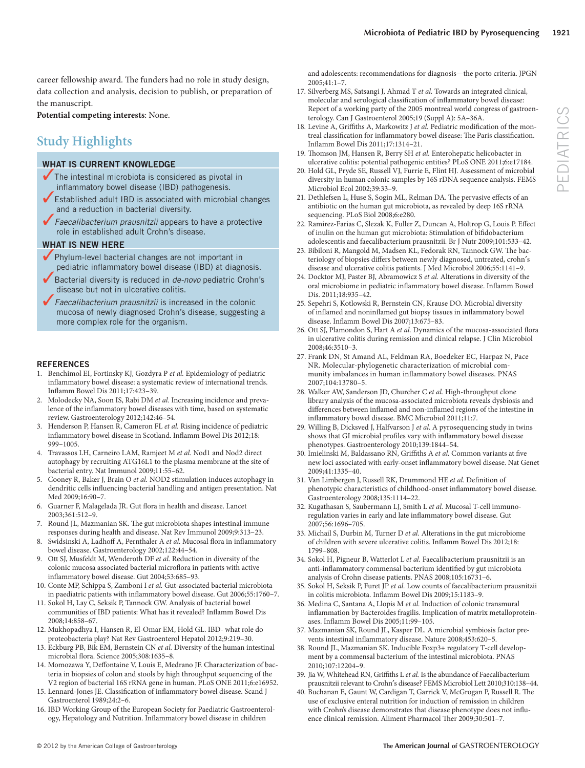career fellowship award. The funders had no role in study design, data collection and analysis, decision to publish, or preparation of the manuscript.

**Potential competing interests:** None.

# **Study Highlights**

## **WHAT IS CURRENT KNOWLEDGE**

- The intestinal microbiota is considered as pivotal in inflammatory bowel disease (IBD) pathogenesis.
- $\blacktriangleright$  Established adult IBD is associated with microbial changes and a reduction in bacterial diversity.
- 3*Faecalibacterium prausnitzii* appears to have a protective role in established adult Crohn's disease.

#### **WHAT IS NEW HERE**

- $\blacktriangleright$  Phylum-level bacterial changes are not important in pediatric inflammatory bowel disease (IBD) at diagnosis.
- Bacterial diversity is reduced in *de-novo* pediatric Crohn's disease but not in ulcerative colitis.
- 3*Faecalibacterium prausnitzii* is increased in the colonic mucosa of newly diagnosed Crohn's disease, suggesting a more complex role for the organism.

#### **REFERENCES**

- 1. Benchimol EI, Fortinsky KJ, Gozdyra P et al. Epidemiology of pediatric inflammatory bowel disease: a systematic review of international trends. Inflamm Bowel Dis 2011;17:423-39.
- 2. Molodecky NA, Soon IS, Rabi DM et al. Increasing incidence and prevalence of the inflammatory bowel diseases with time, based on systematic review. Gastroenterology 2012;142:46-54.
- 3. Henderson P, Hansen R, Cameron FL et al. Rising incidence of pediatric inflammatory bowel disease in Scotland. Inflamm Bowel Dis 2012;18: 999-1005
- 4. Travassos LH, Carneiro LAM, Ramjeet M et al. Nod1 and Nod2 direct autophagy by recruiting ATG16L1 to the plasma membrane at the site of bacterial entry. Nat Immunol 2009;11:55-62.
- 5. Cooney R, Baker J, Brain O *et al.* NOD2 stimulation induces autophagy in dendritic cells influencing bacterial handling and antigen presentation. Nat Med 2009;16:90-7.
- 6. Guarner F, Malagelada JR. Gut flora in health and disease. Lancet 2003;361:512-9.
- 7. Round JL, Mazmanian SK. The gut microbiota shapes intestinal immune responses during health and disease. Nat Rev Immunol 2009;9:313-23.
- 8. Swidsinski A, Ladhoff A, Pernthaler A et al. Mucosal flora in inflammatory bowel disease. Gastroenterology 2002;122:44-54.
- 9. Ott SJ, Musfeldt M, Wenderoth DF et al. Reduction in diversity of the colonic mucosa associated bacterial microflora in patients with active inflammatory bowel disease. Gut 2004;53:685-93.
- 10. Conte MP, Schippa S, Zamboni I et al. Gut-associated bacterial microbiota in paediatric patients with inflammatory bowel disease. Gut 2006;55:1760-7.
- 11. Sokol H, Lay C, Seksik P, Tannock GW. Analysis of bacterial bowel communities of IBD patients: What has it revealed? Inflamm Bowel Dis 2008:14:858-67.
- 12. Mukhopadhya I, Hansen R, El-Omar EM, Hold GL. IBD- what role do proteobacteria play? Nat Rev Gastroenterol Hepatol 2012;9:219-30.
- 13. Eckburg PB, Bik EM, Bernstein CN et al. Diversity of the human intestinal microbial flora. Science 2005;308:1635-8.
- 14. Momozawa Y, Deffontaine V, Louis E, Medrano JF. Characterization of bacteria in biopsies of colon and stools by high throughput sequencing of the V2 region of bacterial 16S rRNA gene in human. PLoS ONE 2011;6:e16952.
- 15. Lennard-Jones JE. Classification of inflammatory bowel disease. Scand J Gastroenterol 1989:24:2-6.
- 16 . IBD Working Group of the European Society for Paediatric Gastroenterology, Hepatology and Nutrition. Inflammatory bowel disease in children

and adolescents: recommendations for diagnosis — the porto criteria . JPGN  $2005:41:1 - 7$ 

- 17. Silverberg MS, Satsangi J, Ahmad T et al. Towards an integrated clinical, molecular and serological classification of inflammatory bowel disease: Report of a working party of the 2005 montreal world congress of gastroenterology. Can J Gastroenterol 2005;19 (Suppl A): 5A-36A.
- 18. Levine A, Griffiths A, Markowitz J et al. Pediatric modification of the montreal classification for inflammatory bowel disease: The Paris classification. Inflamm Bowel Dis 2011;17:1314-21.
- 19. Thomson JM, Hansen R, Berry SH et al. Enterohepatic helicobacter in ulcerative colitis: potential pathogenic entities? PLoS ONE 2011;6:e17184.
- 20. Hold GL, Pryde SE, Russell VJ, Furrie E, Flint HJ. Assessment of microbial diversity in human colonic samples by 16S rDNA sequence analysis . FEMS Microbiol Ecol 2002;39:33-9.
- 21. Dethlefsen L, Huse S, Sogin ML, Relman DA. The pervasive effects of an antibiotic on the human gut microbiota, as revealed by deep 16S rRNA sequencing. PLoS Biol 2008;6:e280.
- 22. Ramirez-Farias C, Slezak K, Fuller Z, Duncan A, Holtrop G, Louis P. Effect of inulin on the human gut microbiota: Stimulation of bifidobacterium adolescentis and faecalibacterium prausnitzii. Br J Nutr 2009;101:533-42.
- 23. Bibiloni R, Mangold M, Madsen KL, Fedorak RN, Tannock GW. The bacteriology of biopsies differs between newly diagnosed, untreated, crohn's disease and ulcerative colitis patients. J Med Microbiol 2006;55:1141-9.
- 24. Docktor MJ, Paster BJ, Abramowicz S et al. Alterations in diversity of the oral microbiome in pediatric inflammatory bowel disease. Inflamm Bowel Dis. 2011;18:935-42.
- 25. Sepehri S, Kotlowski R, Bernstein CN, Krause DO. Microbial diversity of inflamed and noninflamed gut biopsy tissues in inflammatory bowel disease. Inflamm Bowel Dis 2007;13:675-83.
- 26. Ott SJ, Plamondon S, Hart A et al. Dynamics of the mucosa-associated flora in ulcerative colitis during remission and clinical relapse . J Clin Microbiol 2008;46:3510-3.
- 27. Frank DN, St Amand AL, Feldman RA, Boedeker EC, Harpaz N, Pace NR . Molecular-phylogenetic characterization of microbial community imbalances in human inflammatory bowel diseases. PNAS 2007:104:13780-5.
- 28. Walker AW, Sanderson JD, Churcher C et al. High-throughput clone library analysis of the mucosa-associated microbiota reveals dysbiosis and differences between inflamed and non-inflamed regions of the intestine in inflammatory bowel disease. BMC Microbiol 2011;11:7.
- 29. Willing B, Dicksved J, Halfvarson J et al. A pyrosequencing study in twins shows that GI microbial profiles vary with inflammatory bowel disease phenotypes. Gastroenterology 2010;139:1844-54.
- 30. Imielinski M, Baldassano RN, Griffiths A et al. Common variants at five new loci associated with early-onset inflammatory bowel disease. Nat Genet 2009;41:1335-40.
- 31. Van Limbergen J, Russell RK, Drummond HE et al. Definition of phenotypic characteristics of childhood-onset inflammatory bowel disease. Gastroenterology 2008;135:1114-22.
- 32. Kugathasan S, Saubermann LJ, Smith L et al. Mucosal T-cell immunoregulation varies in early and late inflammatory bowel disease. Gut 2007;56:1696-705.
- 33. Michail S, Durbin M, Turner D et al. Alterations in the gut microbiome of children with severe ulcerative colitis. Inflamm Bowel Dis 2012;18: 1799-808.
- 34. Sokol H, Pigneur B, Watterlot L et al. Faecalibacterium prausnitzii is an anti-inflammatory commensal bacterium identified by gut microbiota analysis of Crohn disease patients. PNAS 2008;105:16731-6.
- 35. Sokol H, Seksik P, Furet JP et al. Low counts of faecalibacterium prausnitzii in colitis microbiota. Inflamm Bowel Dis 2009;15:1183-9.
- 36. Medina C, Santana A, Llopis M et al. Induction of colonic transmural inflammation by Bacteroides fragilis. Implication of matrix metalloproteinases. Inflamm Bowel Dis 2005;11:99-105.
- 37. Mazmanian SK, Round JL, Kasper DL. A microbial symbiosis factor prevents intestinal inflammatory disease. Nature 2008;453:620-5
- 38 . Round JL , Mazmanian SK . Inducible Foxp3+ regulatory T-cell development by a commensal bacterium of the intestinal microbiota . PNAS 2010:107:12204-9.
- 39. Jia W, Whitehead RN, Griffiths L et al. Is the abundance of Faecalibacterium prausnitzii relevant to Crohn's disease? FEMS Microbiol Lett 2010;310:138-44.
- 40. Buchanan E, Gaunt W, Cardigan T, Garrick V, McGrogan P, Russell R. The use of exclusive enteral nutrition for induction of remission in children with Crohn's disease demonstrates that disease phenotype does not influence clinical remission. Aliment Pharmacol Ther 2009;30:501-7.